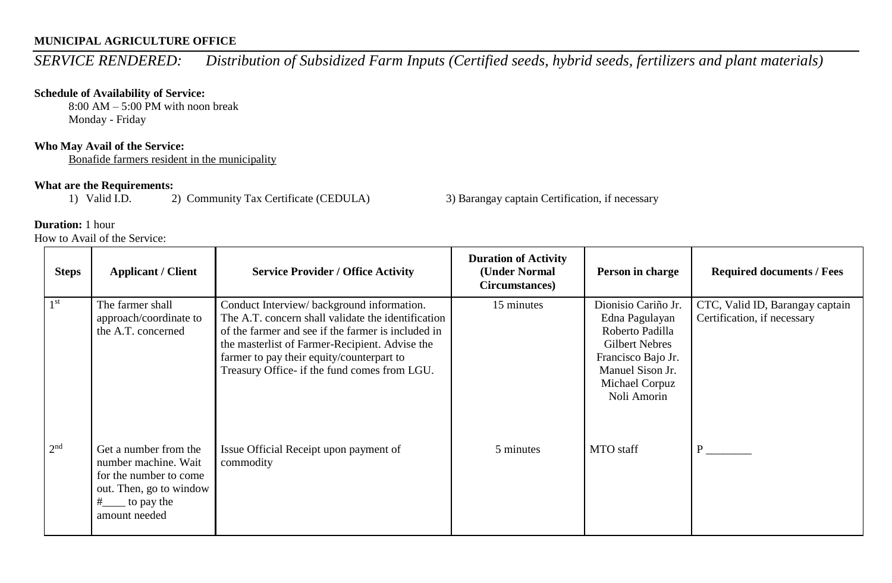# **MUNICIPAL AGRICULTURE OFFICE**

*SERVICE RENDERED: Distribution of Subsidized Farm Inputs (Certified seeds, hybrid seeds, fertilizers and plant materials)* 

### **Schedule of Availability of Service:**

8:00 AM – 5:00 PM with noon break Monday - Friday

# **Who May Avail of the Service:**

Bonafide farmers resident in the municipality

**What are the Requirements:**<br>1) Valid I.D. 2) Community Tax Certificate (CEDULA)

3) Barangay captain Certification, if necessary

## **Duration:** 1 hour

How to Avail of the Service:

| <b>Steps</b>    | <b>Applicant / Client</b>                                                                                                                                     | <b>Service Provider / Office Activity</b>                                                                                                                                                                                                                                                            | <b>Duration of Activity</b><br>(Under Normal<br>Circumstances) | Person in charge                                                                                                                                             | <b>Required documents / Fees</b>                               |
|-----------------|---------------------------------------------------------------------------------------------------------------------------------------------------------------|------------------------------------------------------------------------------------------------------------------------------------------------------------------------------------------------------------------------------------------------------------------------------------------------------|----------------------------------------------------------------|--------------------------------------------------------------------------------------------------------------------------------------------------------------|----------------------------------------------------------------|
| 1 <sup>st</sup> | The farmer shall<br>approach/coordinate to<br>the A.T. concerned                                                                                              | Conduct Interview/background information.<br>The A.T. concern shall validate the identification<br>of the farmer and see if the farmer is included in<br>the masterlist of Farmer-Recipient. Advise the<br>farmer to pay their equity/counterpart to<br>Treasury Office- if the fund comes from LGU. | 15 minutes                                                     | Dionisio Cariño Jr.<br>Edna Pagulayan<br>Roberto Padilla<br><b>Gilbert Nebres</b><br>Francisco Bajo Jr.<br>Manuel Sison Jr.<br>Michael Corpuz<br>Noli Amorin | CTC, Valid ID, Barangay captain<br>Certification, if necessary |
| 2 <sup>nd</sup> | Get a number from the<br>number machine. Wait<br>for the number to come<br>out. Then, go to window<br>$\frac{\text{#}}{\text{#}}$ to pay the<br>amount needed | Issue Official Receipt upon payment of<br>commodity                                                                                                                                                                                                                                                  | 5 minutes                                                      | <b>MTO</b> staff                                                                                                                                             | P.                                                             |